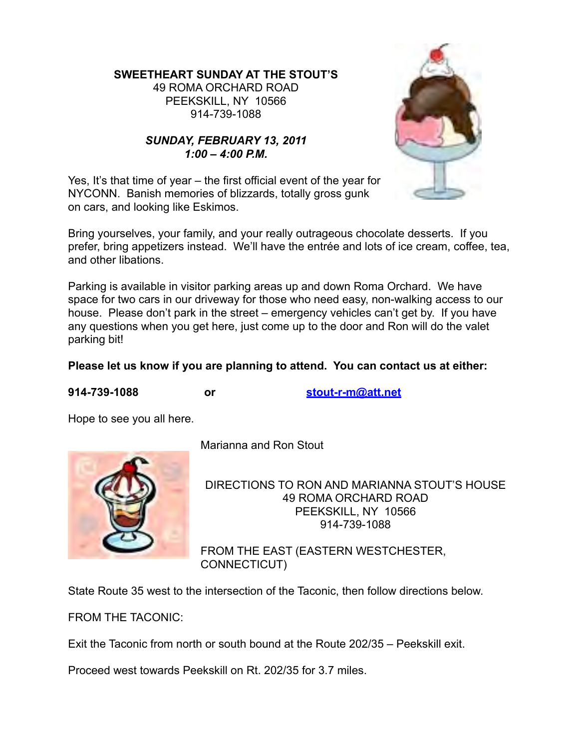## **SWEETHEART SUNDAY AT THE STOUT'S** 49 ROMA ORCHARD ROAD PEEKSKILL, NY 10566 914-739-1088

## *SUNDAY, FEBRUARY 13, 2011 1:00 – 4:00 P.M.*



Yes, It's that time of year – the first official event of the year for NYCONN. Banish memories of blizzards, totally gross gunk on cars, and looking like Eskimos.

Bring yourselves, your family, and your really outrageous chocolate desserts. If you prefer, bring appetizers instead. We'll have the entrée and lots of ice cream, coffee, tea, and other libations.

Parking is available in visitor parking areas up and down Roma Orchard. We have space for two cars in our driveway for those who need easy, non-walking access to our house. Please don't park in the street – emergency vehicles can't get by. If you have any questions when you get here, just come up to the door and Ron will do the valet parking bit!

## **Please let us know if you are planning to attend. You can contact us at either:**

**914-739-1088 or [stout-r-m@att.net](mailto:stout-r-m@att.net)**

Hope to see you all here.



Marianna and Ron Stout

DIRECTIONS TO RON AND MARIANNA STOUT'S HOUSE 49 ROMA ORCHARD ROAD PEEKSKILL, NY 10566 914-739-1088

FROM THE EAST (EASTERN WESTCHESTER, CONNECTICUT)

State Route 35 west to the intersection of the Taconic, then follow directions below.

FROM THE TACONIC:

Exit the Taconic from north or south bound at the Route 202/35 – Peekskill exit.

Proceed west towards Peekskill on Rt. 202/35 for 3.7 miles.